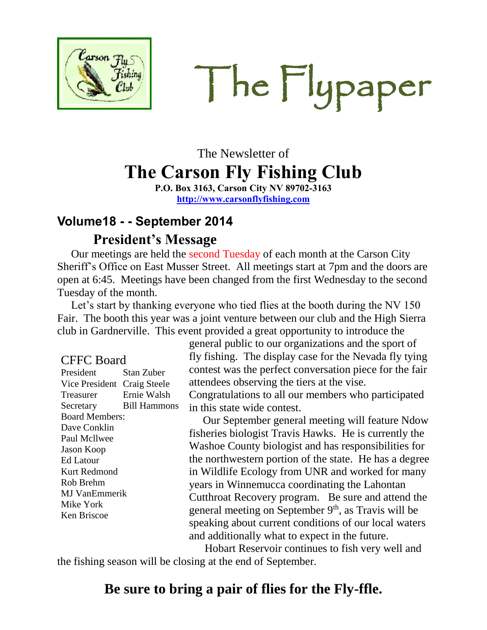

The Flypaper

# The Newsletter of **The Carson Fly Fishing Club**

**P.O. Box 3163, Carson City NV 89702-3163 [http://www.carsonflyfishing.com](http://www.carsonflyfishing.com/)**

### **Volume18 - - September 2014 President's Message**

 Our meetings are held the second Tuesday of each month at the Carson City Sheriff's Office on East Musser Street. All meetings start at 7pm and the doors are open at 6:45. Meetings have been changed from the first Wednesday to the second Tuesday of the month.

 Let's start by thanking everyone who tied flies at the booth during the NV 150 Fair. The booth this year was a joint venture between our club and the High Sierra club in Gardnerville. This event provided a great opportunity to introduce the

| CFFC Board                  |                     |
|-----------------------------|---------------------|
| President                   | Stan Zuber          |
| Vice President Craig Steele |                     |
| Treasurer                   | Ernie Walsh         |
| Secretary                   | <b>Bill Hammons</b> |
| <b>Board Members:</b>       |                     |
| Dave Conklin                |                     |
| Paul Mcllwee                |                     |
| <b>Jason Koop</b>           |                     |
| Ed Latour                   |                     |
| Kurt Redmond                |                     |
| Rob Brehm                   |                     |
| MJ VanEmmerik               |                     |
| Mike York                   |                     |
| Ken Briscoe                 |                     |
|                             |                     |

general public to our organizations and the sport of fly fishing. The display case for the Nevada fly tying contest was the perfect conversation piece for the fair attendees observing the tiers at the vise. Congratulations to all our members who participated in this state wide contest.

 Our September general meeting will feature Ndow fisheries biologist Travis Hawks. He is currently the Washoe County biologist and has responsibilities for the northwestern portion of the state. He has a degree in Wildlife Ecology from UNR and worked for many years in Winnemucca coordinating the Lahontan Cutthroat Recovery program. Be sure and attend the general meeting on September 9<sup>th</sup>, as Travis will be speaking about current conditions of our local waters and additionally what to expect in the future.

 Hobart Reservoir continues to fish very well and the fishing season will be closing at the end of September.

# **Be sure to bring a pair of flies for the Fly-ffle.**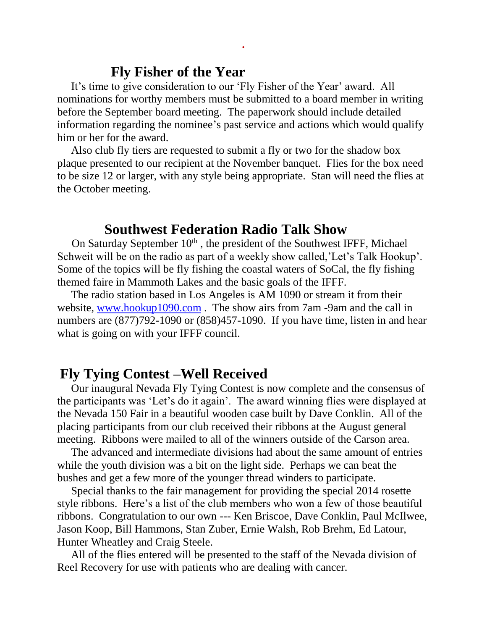#### **Fly Fisher of the Year**

 It's time to give consideration to our 'Fly Fisher of the Year' award. All nominations for worthy members must be submitted to a board member in writing before the September board meeting. The paperwork should include detailed information regarding the nominee's past service and actions which would qualify him or her for the award.

**.**

 Also club fly tiers are requested to submit a fly or two for the shadow box plaque presented to our recipient at the November banquet. Flies for the box need to be size 12 or larger, with any style being appropriate. Stan will need the flies at the October meeting.

#### **Southwest Federation Radio Talk Show**

On Saturday September  $10<sup>th</sup>$ , the president of the Southwest IFFF, Michael Schweit will be on the radio as part of a weekly show called,'Let's Talk Hookup'. Some of the topics will be fly fishing the coastal waters of SoCal, the fly fishing themed faire in Mammoth Lakes and the basic goals of the IFFF.

 The radio station based in Los Angeles is AM 1090 or stream it from their website, [www.hookup1090.com](http://www.hookup1090.com/). The show airs from 7am -9am and the call in numbers are (877)792-1090 or (858)457-1090. If you have time, listen in and hear what is going on with your IFFF council.

#### **Fly Tying Contest –Well Received**

 Our inaugural Nevada Fly Tying Contest is now complete and the consensus of the participants was 'Let's do it again'. The award winning flies were displayed at the Nevada 150 Fair in a beautiful wooden case built by Dave Conklin. All of the placing participants from our club received their ribbons at the August general meeting. Ribbons were mailed to all of the winners outside of the Carson area.

 The advanced and intermediate divisions had about the same amount of entries while the youth division was a bit on the light side. Perhaps we can beat the bushes and get a few more of the younger thread winders to participate.

 Special thanks to the fair management for providing the special 2014 rosette style ribbons. Here's a list of the club members who won a few of those beautiful ribbons. Congratulation to our own --- Ken Briscoe, Dave Conklin, Paul McIlwee, Jason Koop, Bill Hammons, Stan Zuber, Ernie Walsh, Rob Brehm, Ed Latour, Hunter Wheatley and Craig Steele.

 All of the flies entered will be presented to the staff of the Nevada division of Reel Recovery for use with patients who are dealing with cancer.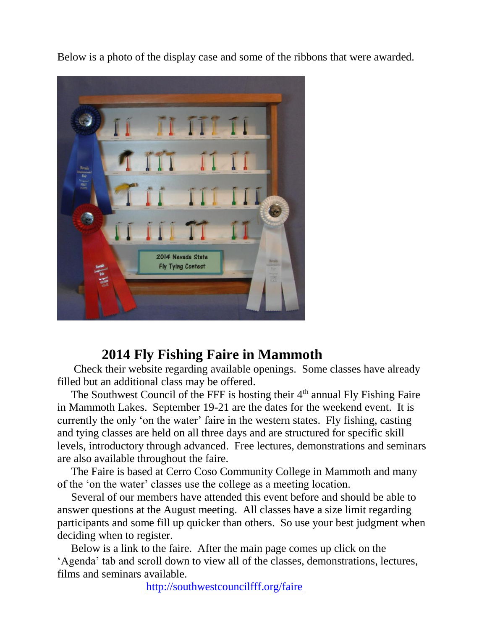Below is a photo of the display case and some of the ribbons that were awarded.



### **2014 Fly Fishing Faire in Mammoth**

 Check their website regarding available openings. Some classes have already filled but an additional class may be offered.

The Southwest Council of the FFF is hosting their 4<sup>th</sup> annual Fly Fishing Faire in Mammoth Lakes. September 19-21 are the dates for the weekend event. It is currently the only 'on the water' faire in the western states. Fly fishing, casting and tying classes are held on all three days and are structured for specific skill levels, introductory through advanced. Free lectures, demonstrations and seminars are also available throughout the faire.

 The Faire is based at Cerro Coso Community College in Mammoth and many of the 'on the water' classes use the college as a meeting location.

 Several of our members have attended this event before and should be able to answer questions at the August meeting. All classes have a size limit regarding participants and some fill up quicker than others. So use your best judgment when deciding when to register.

 Below is a link to the faire. After the main page comes up click on the 'Agenda' tab and scroll down to view all of the classes, demonstrations, lectures, films and seminars available.

<http://southwestcouncilfff.org/faire>